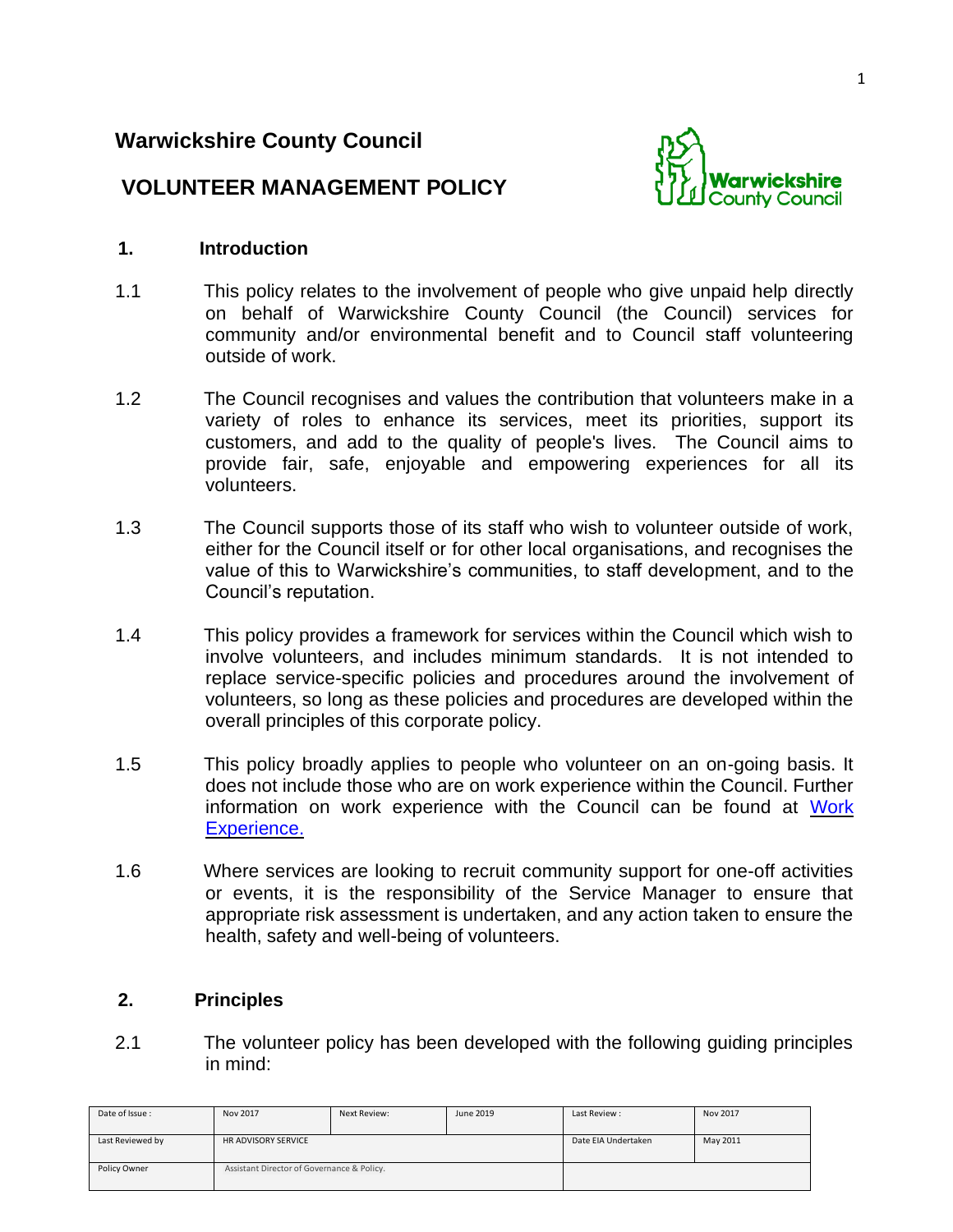# **Warwickshire County Council**

# **VOLUNTEER MANAGEMENT POLICY**



## **1. Introduction**

- 1.1 This policy relates to the involvement of people who give unpaid help directly on behalf of Warwickshire County Council (the Council) services for community and/or environmental benefit and to Council staff volunteering outside of work.
- 1.2 The Council recognises and values the contribution that volunteers make in a variety of roles to enhance its services, meet its priorities, support its customers, and add to the quality of people's lives. The Council aims to provide fair, safe, enjoyable and empowering experiences for all its volunteers.
- 1.3 The Council supports those of its staff who wish to volunteer outside of work, either for the Council itself or for other local organisations, and recognises the value of this to Warwickshire's communities, to staff development, and to the Council's reputation.
- 1.4 This policy provides a framework for services within the Council which wish to involve volunteers, and includes minimum standards. It is not intended to replace service-specific policies and procedures around the involvement of volunteers, so long as these policies and procedures are developed within the overall principles of this corporate policy.
- 1.5 This policy broadly applies to people who volunteer on an on-going basis. It does not include those who are on work experience within the Council. Further information on work experience with the Council can be found at [Work](http://www.warwickshire.gov.uk/corporateworkexperience)  [Experience.](http://www.warwickshire.gov.uk/corporateworkexperience)
- 1.6 Where services are looking to recruit community support for one-off activities or events, it is the responsibility of the Service Manager to ensure that appropriate risk assessment is undertaken, and any action taken to ensure the health, safety and well-being of volunteers.

### **2. Principles**

2.1 The volunteer policy has been developed with the following guiding principles in mind:

| Date of Issue:   | Nov 2017                                   | Next Review: | June 2019 | Last Review:        | Nov 2017 |
|------------------|--------------------------------------------|--------------|-----------|---------------------|----------|
|                  |                                            |              |           |                     |          |
| Last Reviewed by | <b>HR ADVISORY SERVICE</b>                 |              |           | Date EIA Undertaken | May 2011 |
|                  |                                            |              |           |                     |          |
| Policy Owner     | Assistant Director of Governance & Policy. |              |           |                     |          |
|                  |                                            |              |           |                     |          |
|                  |                                            |              |           |                     |          |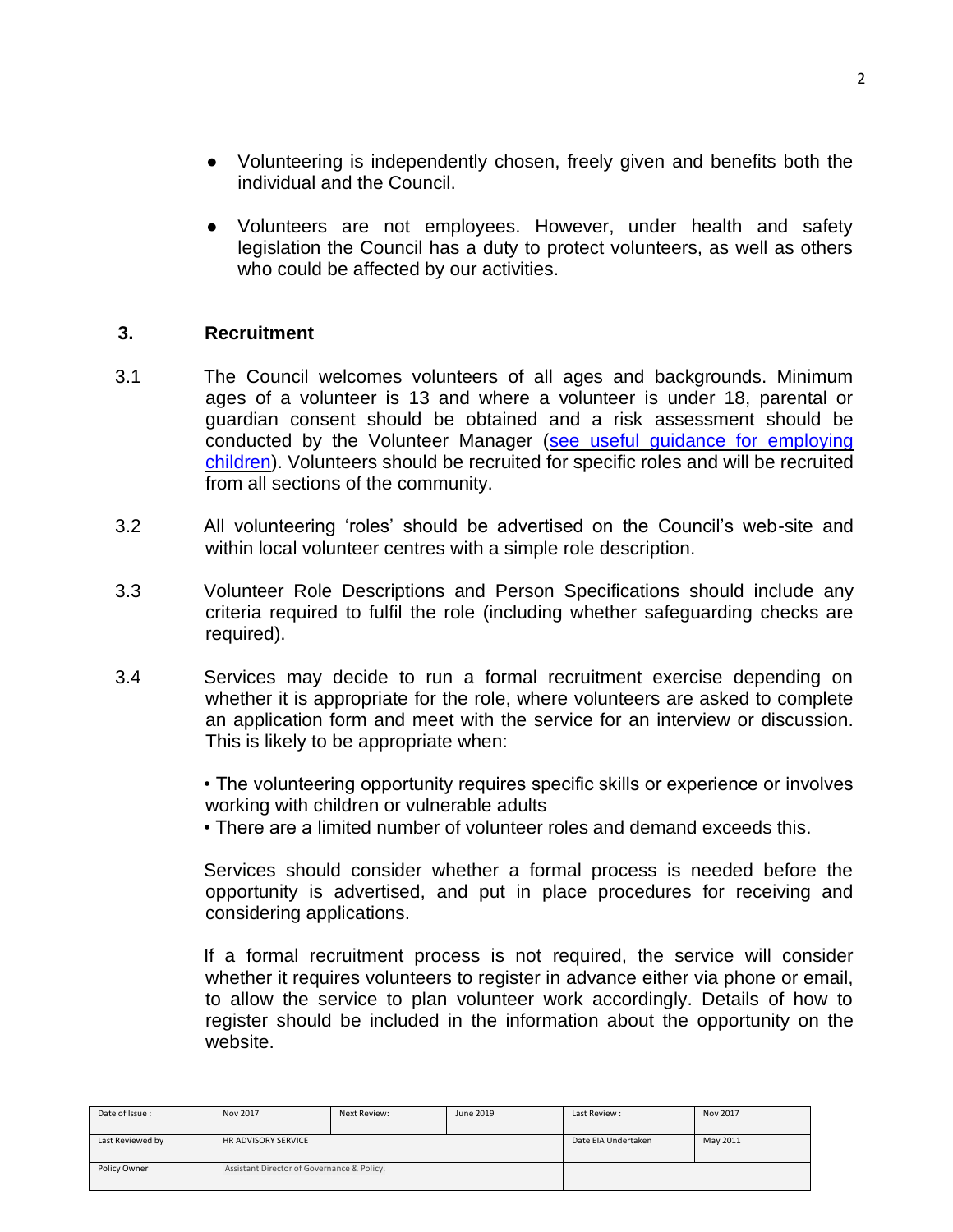- Volunteering is independently chosen, freely given and benefits both the individual and the Council.
- Volunteers are not employees. However, under health and safety legislation the Council has a duty to protect volunteers, as well as others who could be affected by our activities.

#### **3. Recruitment**

- 3.1 The Council welcomes volunteers of all ages and backgrounds. Minimum ages of a volunteer is 13 and where a volunteer is under 18, parental or guardian consent should be obtained and a risk assessment should be conducted by the Volunteer Manager [\(see useful guidance for employing](https://apps.warwickshire.gov.uk/contentplatform/open/WCCC-990-257)  [children\)](https://apps.warwickshire.gov.uk/contentplatform/open/WCCC-990-257). Volunteers should be recruited for specific roles and will be recruited from all sections of the community.
- 3.2 All volunteering 'roles' should be advertised on the Council's web-site and within local volunteer centres with a simple role description.
- 3.3 Volunteer Role Descriptions and Person Specifications should include any criteria required to fulfil the role (including whether safeguarding checks are required).
- 3.4 Services may decide to run a formal recruitment exercise depending on whether it is appropriate for the role, where volunteers are asked to complete an application form and meet with the service for an interview or discussion. This is likely to be appropriate when:

• The volunteering opportunity requires specific skills or experience or involves working with children or vulnerable adults

• There are a limited number of volunteer roles and demand exceeds this.

Services should consider whether a formal process is needed before the opportunity is advertised, and put in place procedures for receiving and considering applications.

If a formal recruitment process is not required, the service will consider whether it requires volunteers to register in advance either via phone or email, to allow the service to plan volunteer work accordingly. Details of how to register should be included in the information about the opportunity on the website.

| Date of Issue:   | Nov 2017                                   | Next Review: | June 2019 | Last Review:        | Nov 2017 |
|------------------|--------------------------------------------|--------------|-----------|---------------------|----------|
| Last Reviewed by | HR ADVISORY SERVICE                        |              |           | Date EIA Undertaken | May 2011 |
| Policy Owner     | Assistant Director of Governance & Policy. |              |           |                     |          |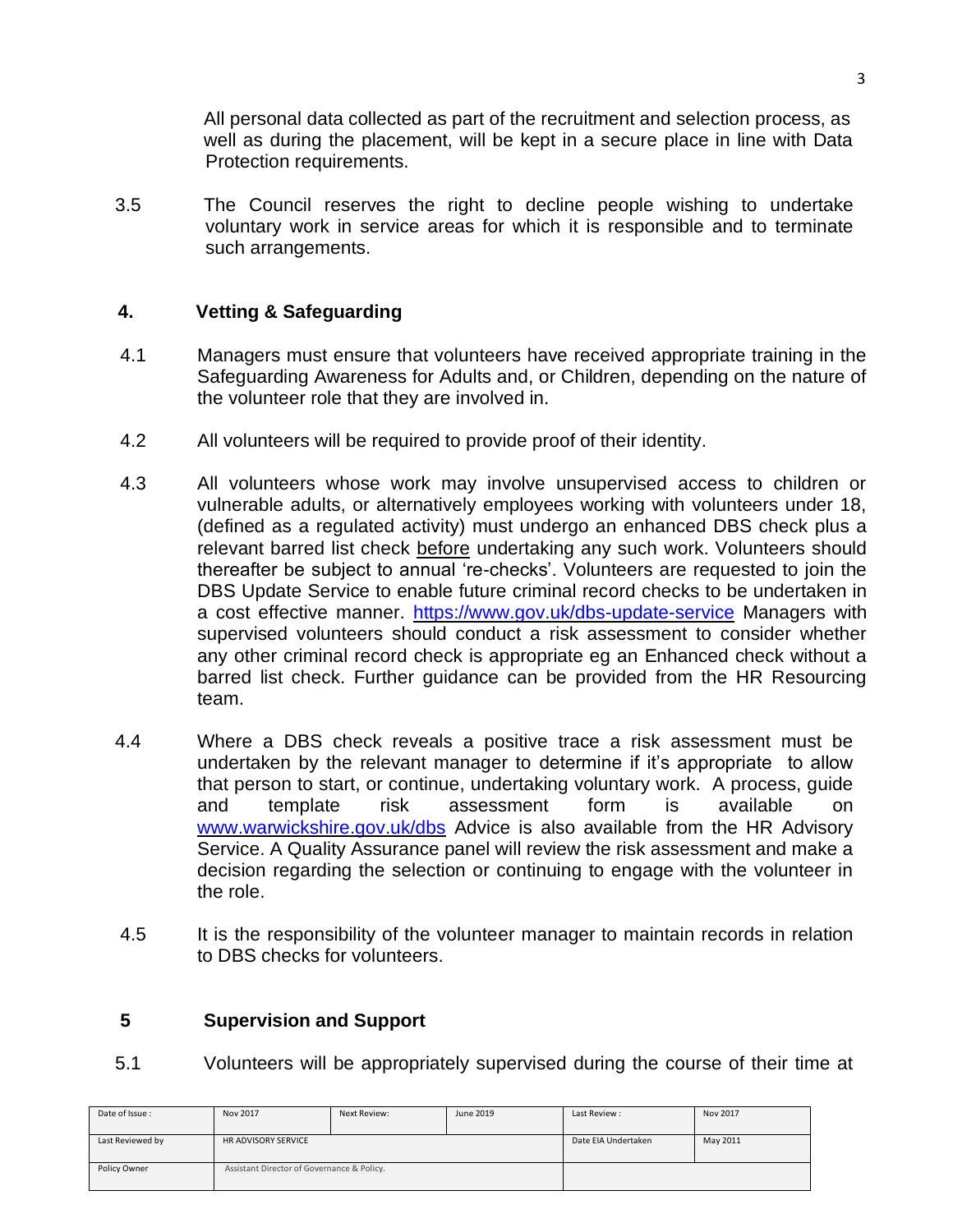All personal data collected as part of the recruitment and selection process, as well as during the placement, will be kept in a secure place in line with Data Protection requirements.

3.5 The Council reserves the right to decline people wishing to undertake voluntary work in service areas for which it is responsible and to terminate such arrangements.

### **4. Vetting & Safeguarding**

- 4.1 Managers must ensure that volunteers have received appropriate training in the Safeguarding Awareness for Adults and, or Children, depending on the nature of the volunteer role that they are involved in.
- 4.2 All volunteers will be required to provide proof of their identity.
- 4.3 All volunteers whose work may involve unsupervised access to children or vulnerable adults, or alternatively employees working with volunteers under 18, (defined as a regulated activity) must undergo an enhanced DBS check plus a relevant barred list check before undertaking any such work. Volunteers should thereafter be subject to annual 're-checks'. Volunteers are requested to join the DBS Update Service to enable future criminal record checks to be undertaken in a cost effective manner.<https://www.gov.uk/dbs-update-service> Managers with supervised volunteers should conduct a risk assessment to consider whether any other criminal record check is appropriate eg an Enhanced check without a barred list check. Further guidance can be provided from the HR Resourcing team.
- 4.4 Where a DBS check reveals a positive trace a risk assessment must be undertaken by the relevant manager to determine if it's appropriate to allow that person to start, or continue, undertaking voluntary work. A process, guide and template risk assessment form is available on [www.warwickshire.gov.uk/dbs](http://www.warwickshire.gov.uk/dbs) Advice is also available from the HR Advisory Service. A Quality Assurance panel will review the risk assessment and make a decision regarding the selection or continuing to engage with the volunteer in the role.
- 4.5 It is the responsibility of the volunteer manager to maintain records in relation to DBS checks for volunteers.

### **5 Supervision and Support**

5.1 Volunteers will be appropriately supervised during the course of their time at

| Date of Issue:   | Nov 2017                                   | Next Review: | June 2019 | Last Review:        | Nov 2017 |
|------------------|--------------------------------------------|--------------|-----------|---------------------|----------|
| Last Reviewed by | HR ADVISORY SERVICE                        |              |           | Date EIA Undertaken | May 2011 |
| Policy Owner     | Assistant Director of Governance & Policy. |              |           |                     |          |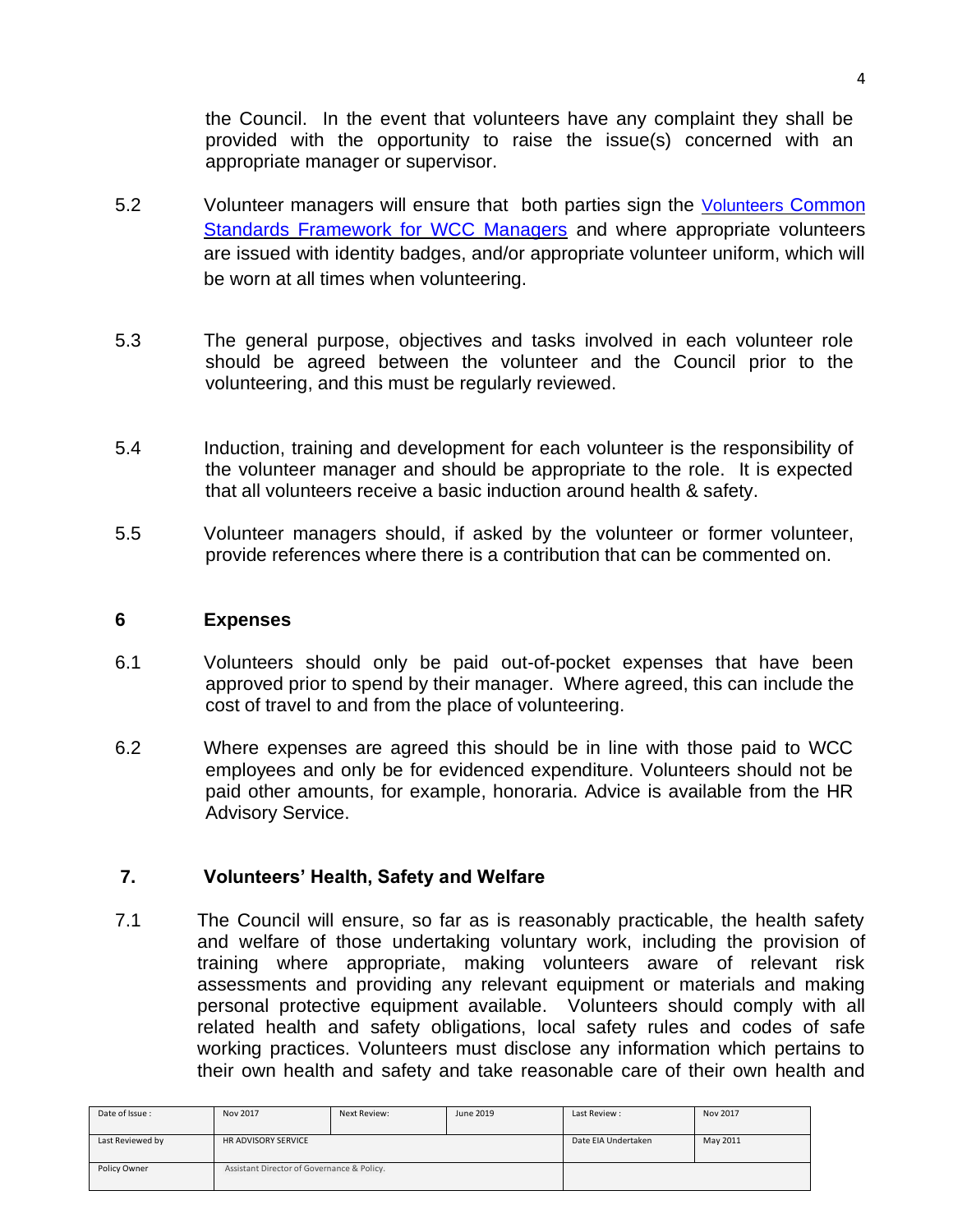the Council. In the event that volunteers have any complaint they shall be provided with the opportunity to raise the issue(s) concerned with an appropriate manager or supervisor.

- 5.2 Volunteer managers will ensure that both parties sign the [Volunteers](https://i.warwickshire.gov.uk/content/volunteers/volunteers) Common [Standards Framework for WCC Managers](https://i.warwickshire.gov.uk/content/volunteers/volunteers) and where appropriate volunteers are issued with identity badges, and/or appropriate volunteer uniform, which will be worn at all times when volunteering.
- 5.3 The general purpose, objectives and tasks involved in each volunteer role should be agreed between the volunteer and the Council prior to the volunteering, and this must be regularly reviewed.
- 5.4 Induction, training and development for each volunteer is the responsibility of the volunteer manager and should be appropriate to the role. It is expected that all volunteers receive a basic induction around health & safety.
- 5.5 Volunteer managers should, if asked by the volunteer or former volunteer, provide references where there is a contribution that can be commented on.

#### **6 Expenses**

- 6.1 Volunteers should only be paid out-of-pocket expenses that have been approved prior to spend by their manager. Where agreed, this can include the cost of travel to and from the place of volunteering.
- 6.2 Where expenses are agreed this should be in line with those paid to WCC employees and only be for evidenced expenditure. Volunteers should not be paid other amounts, for example, honoraria. Advice is available from the HR Advisory Service.

### **7. Volunteers' Health, Safety and Welfare**

7.1 The Council will ensure, so far as is reasonably practicable, the health safety and welfare of those undertaking voluntary work, including the provision of training where appropriate, making volunteers aware of relevant risk assessments and providing any relevant equipment or materials and making personal protective equipment available. Volunteers should comply with all related health and safety obligations, local safety rules and codes of safe working practices. Volunteers must disclose any information which pertains to their own health and safety and take reasonable care of their own health and

| Date of Issue:   | Nov 2017                                   | Next Review: | June 2019 | Last Review:        | Nov 2017 |
|------------------|--------------------------------------------|--------------|-----------|---------------------|----------|
| Last Reviewed by | <b>HR ADVISORY SERVICE</b>                 |              |           | Date EIA Undertaken | May 2011 |
| Policy Owner     | Assistant Director of Governance & Policy. |              |           |                     |          |